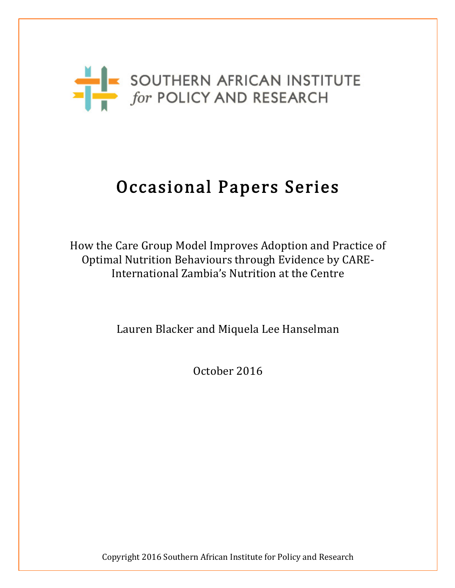

# Occasional Papers Series

How the Care Group Model Improves Adoption and Practice of Optimal Nutrition Behaviours through Evidence by CARE-International Zambia's Nutrition at the Centre

Lauren Blacker and Miquela Lee Hanselman

October 2016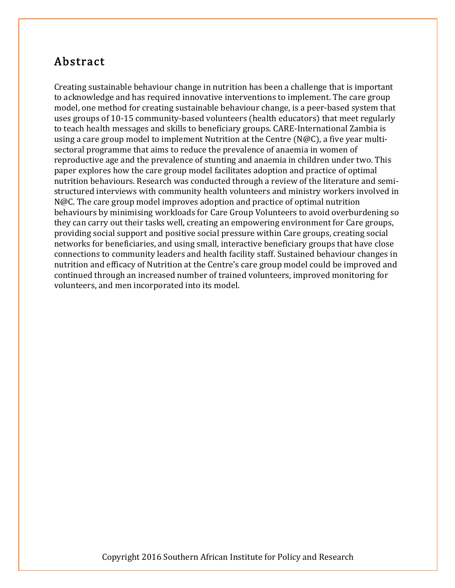# Abstract

Creating sustainable behaviour change in nutrition has been a challenge that is important to acknowledge and has required innovative interventions to implement. The care group model, one method for creating sustainable behaviour change, is a peer-based system that uses groups of 10-15 community-based volunteers (health educators) that meet regularly to teach health messages and skills to beneficiary groups. CARE-International Zambia is using a care group model to implement Nutrition at the Centre (N@C), a five year multisectoral programme that aims to reduce the prevalence of anaemia in women of reproductive age and the prevalence of stunting and anaemia in children under two. This paper explores how the care group model facilitates adoption and practice of optimal nutrition behaviours. Research was conducted through a review of the literature and semistructured interviews with community health volunteers and ministry workers involved in N@C. The care group model improves adoption and practice of optimal nutrition behaviours by minimising workloads for Care Group Volunteers to avoid overburdening so they can carry out their tasks well, creating an empowering environment for Care groups, providing social support and positive social pressure within Care groups, creating social networks for beneficiaries, and using small, interactive beneficiary groups that have close connections to community leaders and health facility staff. Sustained behaviour changes in nutrition and efficacy of Nutrition at the Centre's care group model could be improved and continued through an increased number of trained volunteers, improved monitoring for volunteers, and men incorporated into its model.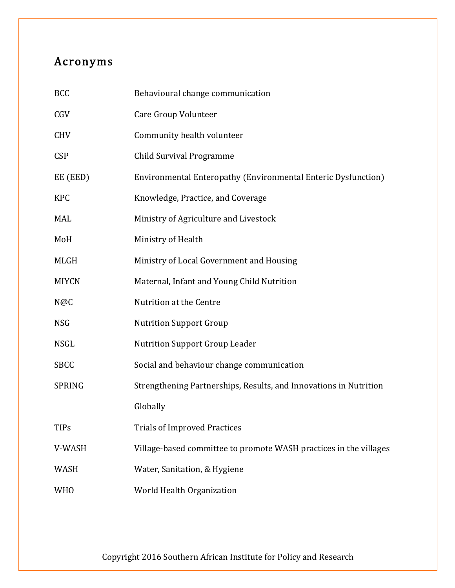# Acronyms

| <b>BCC</b>    | Behavioural change communication                                  |
|---------------|-------------------------------------------------------------------|
| CGV           | Care Group Volunteer                                              |
| <b>CHV</b>    | Community health volunteer                                        |
| <b>CSP</b>    | <b>Child Survival Programme</b>                                   |
| EE (EED)      | Environmental Enteropathy (Environmental Enteric Dysfunction)     |
| <b>KPC</b>    | Knowledge, Practice, and Coverage                                 |
| MAL           | Ministry of Agriculture and Livestock                             |
| MoH           | Ministry of Health                                                |
| MLGH          | Ministry of Local Government and Housing                          |
| <b>MIYCN</b>  | Maternal, Infant and Young Child Nutrition                        |
| N@C           | Nutrition at the Centre                                           |
| <b>NSG</b>    | <b>Nutrition Support Group</b>                                    |
| <b>NSGL</b>   | <b>Nutrition Support Group Leader</b>                             |
| <b>SBCC</b>   | Social and behaviour change communication                         |
| <b>SPRING</b> | Strengthening Partnerships, Results, and Innovations in Nutrition |
|               | Globally                                                          |
| TIPs          | <b>Trials of Improved Practices</b>                               |
| V-WASH        | Village-based committee to promote WASH practices in the villages |
| WASH          | Water, Sanitation, & Hygiene                                      |
| <b>WHO</b>    | World Health Organization                                         |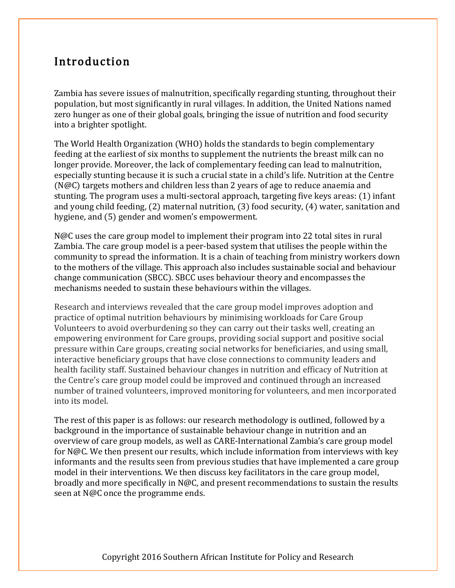# Introduction

Zambia has severe issues of malnutrition, specifically regarding stunting, throughout their population, but most significantly in rural villages. In addition, the United Nations named zero hunger as one of their global goals, bringing the issue of nutrition and food security into a brighter spotlight.

The World Health Organization (WHO) holds the standards to begin complementary feeding at the earliest of six months to supplement the nutrients the breast milk can no longer provide. Moreover, the lack of complementary feeding can lead to malnutrition, especially stunting because it is such a crucial state in a child's life. Nutrition at the Centre (N@C) targets mothers and children less than 2 years of age to reduce anaemia and stunting. The program uses a multi-sectoral approach, targeting five keys areas: (1) infant and young child feeding, (2) maternal nutrition, (3) food security, (4) water, sanitation and hygiene, and (5) gender and women's empowerment.

N@C uses the care group model to implement their program into 22 total sites in rural Zambia. The care group model is a peer-based system that utilises the people within the community to spread the information. It is a chain of teaching from ministry workers down to the mothers of the village. This approach also includes sustainable social and behaviour change communication (SBCC). SBCC uses behaviour theory and encompasses the mechanisms needed to sustain these behaviours within the villages.

Research and interviews revealed that the care group model improves adoption and practice of optimal nutrition behaviours by minimising workloads for Care Group Volunteers to avoid overburdening so they can carry out their tasks well, creating an empowering environment for Care groups, providing social support and positive social pressure within Care groups, creating social networks for beneficiaries, and using small, interactive beneficiary groups that have close connections to community leaders and health facility staff. Sustained behaviour changes in nutrition and efficacy of Nutrition at the Centre's care group model could be improved and continued through an increased number of trained volunteers, improved monitoring for volunteers, and men incorporated into its model.

The rest of this paper is as follows: our research methodology is outlined, followed by a background in the importance of sustainable behaviour change in nutrition and an overview of care group models, as well as CARE-International Zambia's care group model for N@C. We then present our results, which include information from interviews with key informants and the results seen from previous studies that have implemented a care group model in their interventions. We then discuss key facilitators in the care group model, broadly and more specifically in N@C, and present recommendations to sustain the results seen at N@C once the programme ends.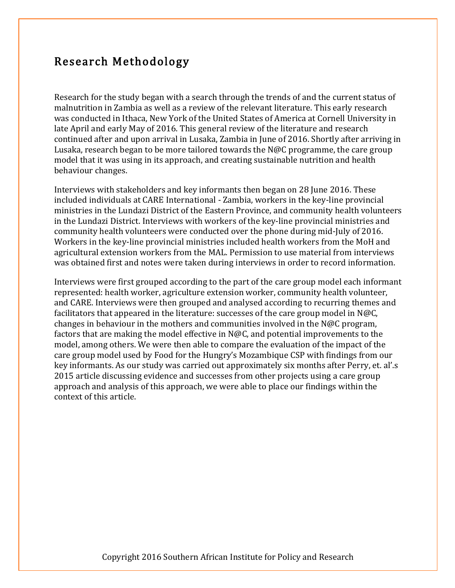## Research Methodology

Research for the study began with a search through the trends of and the current status of malnutrition in Zambia as well as a review of the relevant literature. This early research was conducted in Ithaca, New York of the United States of America at Cornell University in late April and early May of 2016. This general review of the literature and research continued after and upon arrival in Lusaka, Zambia in June of 2016. Shortly after arriving in Lusaka, research began to be more tailored towards the N@C programme, the care group model that it was using in its approach, and creating sustainable nutrition and health behaviour changes.

Interviews with stakeholders and key informants then began on 28 June 2016. These included individuals at CARE International - Zambia, workers in the key-line provincial ministries in the Lundazi District of the Eastern Province, and community health volunteers in the Lundazi District. Interviews with workers of the key-line provincial ministries and community health volunteers were conducted over the phone during mid-July of 2016. Workers in the key-line provincial ministries included health workers from the MoH and agricultural extension workers from the MAL. Permission to use material from interviews was obtained first and notes were taken during interviews in order to record information.

Interviews were first grouped according to the part of the care group model each informant represented: health worker, agriculture extension worker, community health volunteer, and CARE. Interviews were then grouped and analysed according to recurring themes and facilitators that appeared in the literature: successes of the care group model in N@C, changes in behaviour in the mothers and communities involved in the N@C program, factors that are making the model effective in N@C, and potential improvements to the model, among others. We were then able to compare the evaluation of the impact of the care group model used by Food for the Hungry's Mozambique CSP with findings from our key informants. As our study was carried out approximately six months after Perry, et. al'.s 2015 article discussing evidence and successes from other projects using a care group approach and analysis of this approach, we were able to place our findings within the context of this article.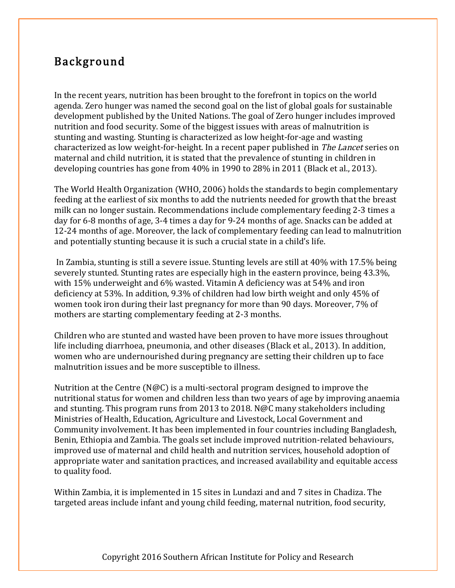# Background

In the recent years, nutrition has been brought to the forefront in topics on the world agenda. Zero hunger was named the second goal on the list of global goals for sustainable development published by the United Nations. The goal of Zero hunger includes improved nutrition and food security. Some of the biggest issues with areas of malnutrition is stunting and wasting. Stunting is characterized as low height-for-age and wasting characterized as low weight-for-height. In a recent paper published in The Lancet series on maternal and child nutrition, it is stated that the prevalence of stunting in children in developing countries has gone from 40% in 1990 to 28% in 2011 (Black et al., 2013).

The World Health Organization (WHO, 2006) holds the standards to begin complementary feeding at the earliest of six months to add the nutrients needed for growth that the breast milk can no longer sustain. Recommendations include complementary feeding 2-3 times a day for 6-8 months of age, 3-4 times a day for 9-24 months of age. Snacks can be added at 12-24 months of age. Moreover, the lack of complementary feeding can lead to malnutrition and potentially stunting because it is such a crucial state in a child's life.

In Zambia, stunting is still a severe issue. Stunting levels are still at 40% with 17.5% being severely stunted. Stunting rates are especially high in the eastern province, being 43.3%, with 15% underweight and 6% wasted. Vitamin A deficiency was at 54% and iron deficiency at 53%. In addition, 9.3% of children had low birth weight and only 45% of women took iron during their last pregnancy for more than 90 days. Moreover, 7% of mothers are starting complementary feeding at 2-3 months.

Children who are stunted and wasted have been proven to have more issues throughout life including diarrhoea, pneumonia, and other diseases (Black et al., 2013). In addition, women who are undernourished during pregnancy are setting their children up to face malnutrition issues and be more susceptible to illness.

Nutrition at the Centre (N@C) is a multi-sectoral program designed to improve the nutritional status for women and children less than two years of age by improving anaemia and stunting. This program runs from 2013 to 2018. N@C many stakeholders including Ministries of Health, Education, Agriculture and Livestock, Local Government and Community involvement. It has been implemented in four countries including Bangladesh, Benin, Ethiopia and Zambia. The goals set include improved nutrition-related behaviours, improved use of maternal and child health and nutrition services, household adoption of appropriate water and sanitation practices, and increased availability and equitable access to quality food.

Within Zambia, it is implemented in 15 sites in Lundazi and and 7 sites in Chadiza. The targeted areas include infant and young child feeding, maternal nutrition, food security,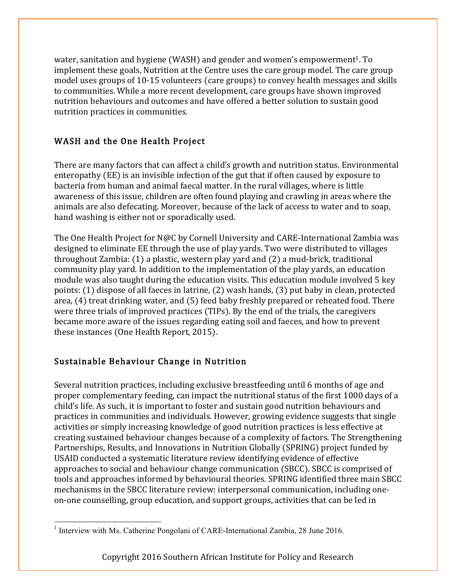water, sanitation and hygiene (WASH) and gender and women's empowerment<sup>1</sup>. To implement these goals, Nutrition at the Centre uses the care group model. The care group model uses groups of 10-15 volunteers (care groups) to convey health messages and skills to communities. While a more recent development, care groups have shown improved nutrition behaviours and outcomes and have offered a better solution to sustain good nutrition practices in communities.

#### WASH and the One Health Project

There are many factors that can affect a child's growth and nutrition status. Environmental enteropathy (EE) is an invisible infection of the gut that if often caused by exposure to bacteria from human and animal faecal matter. In the rural villages, where is little awareness of this issue, children are often found playing and crawling in areas where the animals are also defecating. Moreover, because of the lack of access to water and to soap, hand washing is either not or sporadically used.

The One Health Project for N@C by Cornell University and CARE-International Zambia was designed to eliminate EE through the use of play yards. Two were distributed to villages throughout Zambia: (1) a plastic, western play yard and (2) a mud-brick, traditional community play yard. In addition to the implementation of the play yards, an education module was also taught during the education visits. This education module involved 5 key points: (1) dispose of all faeces in latrine, (2) wash hands, (3) put baby in clean, protected area, (4) treat drinking water, and (5) feed baby freshly prepared or reheated food. There were three trials of improved practices (TIPs). By the end of the trials, the caregivers became more aware of the issues regarding eating soil and faeces, and how to prevent these instances (One Health Report, 2015).

#### Sustainable Behaviour Change in Nutrition

Several nutrition practices, including exclusive breastfeeding until 6 months of age and proper complementary feeding, can impact the nutritional status of the first 1000 days of a child's life. As such, it is important to foster and sustain good nutrition behaviours and practices in communities and individuals. However, growing evidence suggests that single activities or simply increasing knowledge of good nutrition practices is less effective at creating sustained behaviour changes because of a complexity of factors. The Strengthening Partnerships, Results, and Innovations in Nutrition Globally (SPRING) project funded by USAID conducted a systematic literature review identifying evidence of effective approaches to social and behaviour change communication (SBCC). SBCC is comprised of tools and approaches informed by behavioural theories. SPRING identified three main SBCC mechanisms in the SBCC literature review: interpersonal communication, including oneon-one counselling, group education, and support groups, activities that can be led in

 $1$  Interview with Ms. Catherine Pongolani of CARE-International Zambia, 28 June 2016.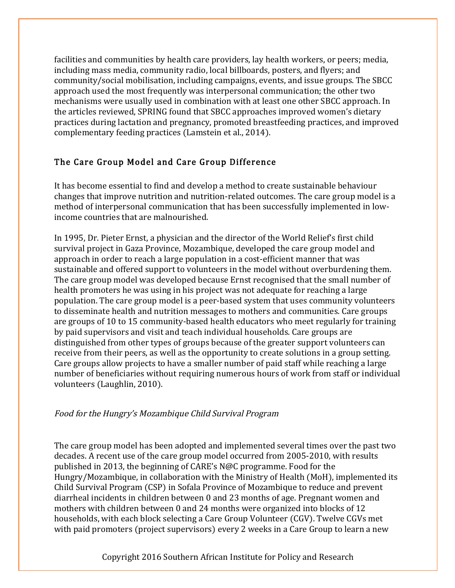facilities and communities by health care providers, lay health workers, or peers; media, including mass media, community radio, local billboards, posters, and flyers; and community/social mobilisation, including campaigns, events, and issue groups. The SBCC approach used the most frequently was interpersonal communication; the other two mechanisms were usually used in combination with at least one other SBCC approach. In the articles reviewed, SPRING found that SBCC approaches improved women's dietary practices during lactation and pregnancy, promoted breastfeeding practices, and improved complementary feeding practices (Lamstein et al., 2014).

#### The Care Group Model and Care Group Difference

It has become essential to find and develop a method to create sustainable behaviour changes that improve nutrition and nutrition-related outcomes. The care group model is a method of interpersonal communication that has been successfully implemented in lowincome countries that are malnourished.

In 1995, Dr. Pieter Ernst, a physician and the director of the World Relief's first child survival project in Gaza Province, Mozambique, developed the care group model and approach in order to reach a large population in a cost-efficient manner that was sustainable and offered support to volunteers in the model without overburdening them. The care group model was developed because Ernst recognised that the small number of health promoters he was using in his project was not adequate for reaching a large population. The care group model is a peer-based system that uses community volunteers to disseminate health and nutrition messages to mothers and communities. Care groups are groups of 10 to 15 community-based health educators who meet regularly for training by paid supervisors and visit and teach individual households. Care groups are distinguished from other types of groups because of the greater support volunteers can receive from their peers, as well as the opportunity to create solutions in a group setting. Care groups allow projects to have a smaller number of paid staff while reaching a large number of beneficiaries without requiring numerous hours of work from staff or individual volunteers (Laughlin, 2010).

#### Food for the Hungry's Mozambique Child Survival Program

The care group model has been adopted and implemented several times over the past two decades. A recent use of the care group model occurred from 2005-2010, with results published in 2013, the beginning of CARE's N@C programme. Food for the Hungry/Mozambique, in collaboration with the Ministry of Health (MoH), implemented its Child Survival Program (CSP) in Sofala Province of Mozambique to reduce and prevent diarrheal incidents in children between 0 and 23 months of age. Pregnant women and mothers with children between 0 and 24 months were organized into blocks of 12 households, with each block selecting a Care Group Volunteer (CGV). Twelve CGVs met with paid promoters (project supervisors) every 2 weeks in a Care Group to learn a new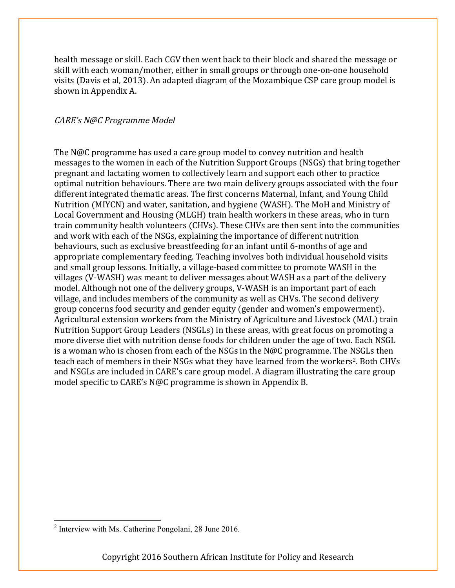health message or skill. Each CGV then went back to their block and shared the message or skill with each woman/mother, either in small groups or through one-on-one household visits (Davis et al, 2013). An adapted diagram of the Mozambique CSP care group model is shown in Appendix A.

#### CARE's N@C Programme Model

The N@C programme has used a care group model to convey nutrition and health messages to the women in each of the Nutrition Support Groups (NSGs) that bring together pregnant and lactating women to collectively learn and support each other to practice optimal nutrition behaviours. There are two main delivery groups associated with the four different integrated thematic areas. The first concerns Maternal, Infant, and Young Child Nutrition (MIYCN) and water, sanitation, and hygiene (WASH). The MoH and Ministry of Local Government and Housing (MLGH) train health workers in these areas, who in turn train community health volunteers (CHVs). These CHVs are then sent into the communities and work with each of the NSGs, explaining the importance of different nutrition behaviours, such as exclusive breastfeeding for an infant until 6-months of age and appropriate complementary feeding. Teaching involves both individual household visits and small group lessons. Initially, a village-based committee to promote WASH in the villages (V-WASH) was meant to deliver messages about WASH as a part of the delivery model. Although not one of the delivery groups, V-WASH is an important part of each village, and includes members of the community as well as CHVs. The second delivery group concerns food security and gender equity (gender and women's empowerment). Agricultural extension workers from the Ministry of Agriculture and Livestock (MAL) train Nutrition Support Group Leaders (NSGLs) in these areas, with great focus on promoting a more diverse diet with nutrition dense foods for children under the age of two. Each NSGL is a woman who is chosen from each of the NSGs in the N@C programme. The NSGLs then teach each of members in their NSGs what they have learned from the workers<sup>2</sup>. Both CHVs and NSGLs are included in CARE's care group model. A diagram illustrating the care group model specific to CARE's N@C programme is shown in Appendix B.

<sup>2</sup> Interview with Ms. Catherine Pongolani, 28 June 2016.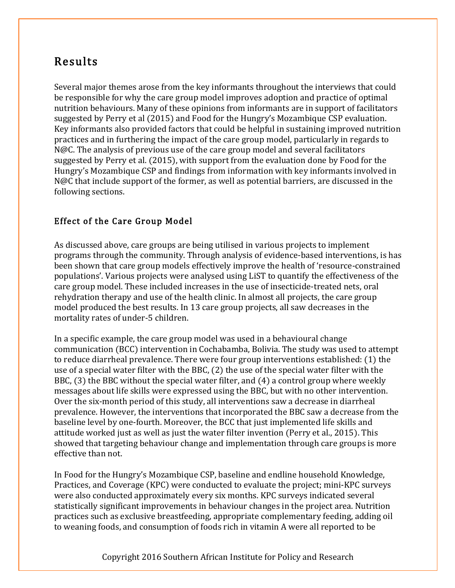# Results

Several major themes arose from the key informants throughout the interviews that could be responsible for why the care group model improves adoption and practice of optimal nutrition behaviours. Many of these opinions from informants are in support of facilitators suggested by Perry et al (2015) and Food for the Hungry's Mozambique CSP evaluation. Key informants also provided factors that could be helpful in sustaining improved nutrition practices and in furthering the impact of the care group model, particularly in regards to N@C. The analysis of previous use of the care group model and several facilitators suggested by Perry et al. (2015), with support from the evaluation done by Food for the Hungry's Mozambique CSP and findings from information with key informants involved in N@C that include support of the former, as well as potential barriers, are discussed in the following sections.

#### Effect of the Care Group Model

As discussed above, care groups are being utilised in various projects to implement programs through the community. Through analysis of evidence-based interventions, is has been shown that care group models effectively improve the health of 'resource-constrained populations'. Various projects were analysed using LiST to quantify the effectiveness of the care group model. These included increases in the use of insecticide-treated nets, oral rehydration therapy and use of the health clinic. In almost all projects, the care group model produced the best results. In 13 care group projects, all saw decreases in the mortality rates of under-5 children.

In a specific example, the care group model was used in a behavioural change communication (BCC) intervention in Cochabamba, Bolivia. The study was used to attempt to reduce diarrheal prevalence. There were four group interventions established: (1) the use of a special water filter with the BBC, (2) the use of the special water filter with the BBC, (3) the BBC without the special water filter, and (4) a control group where weekly messages about life skills were expressed using the BBC, but with no other intervention. Over the six-month period of this study, all interventions saw a decrease in diarrheal prevalence. However, the interventions that incorporated the BBC saw a decrease from the baseline level by one-fourth. Moreover, the BCC that just implemented life skills and attitude worked just as well as just the water filter invention (Perry et al., 2015). This showed that targeting behaviour change and implementation through care groups is more effective than not.

In Food for the Hungry's Mozambique CSP, baseline and endline household Knowledge, Practices, and Coverage (KPC) were conducted to evaluate the project; mini-KPC surveys were also conducted approximately every six months. KPC surveys indicated several statistically significant improvements in behaviour changes in the project area. Nutrition practices such as exclusive breastfeeding, appropriate complementary feeding, adding oil to weaning foods, and consumption of foods rich in vitamin A were all reported to be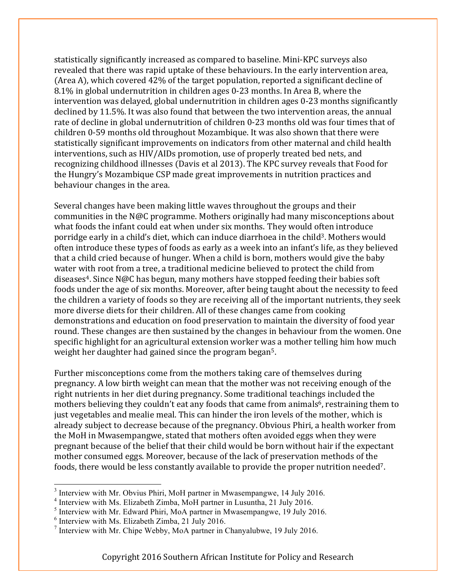statistically significantly increased as compared to baseline. Mini-KPC surveys also revealed that there was rapid uptake of these behaviours. In the early intervention area, (Area A), which covered 42% of the target population, reported a significant decline of 8.1% in global undernutrition in children ages 0-23 months. In Area B, where the intervention was delayed, global undernutrition in children ages 0-23 months significantly declined by 11.5%. It was also found that between the two intervention areas, the annual rate of decline in global undernutrition of children 0-23 months old was four times that of children 0-59 months old throughout Mozambique. It was also shown that there were statistically significant improvements on indicators from other maternal and child health interventions, such as HIV/AIDs promotion, use of properly treated bed nets, and recognizing childhood illnesses (Davis et al 2013). The KPC survey reveals that Food for the Hungry's Mozambique CSP made great improvements in nutrition practices and behaviour changes in the area.

Several changes have been making little waves throughout the groups and their communities in the N@C programme. Mothers originally had many misconceptions about what foods the infant could eat when under six months. They would often introduce porridge early in a child's diet, which can induce diarrhoea in the child<sup>3</sup>. Mothers would often introduce these types of foods as early as a week into an infant's life, as they believed that a child cried because of hunger. When a child is born, mothers would give the baby water with root from a tree, a traditional medicine believed to protect the child from diseases<sup>4</sup>. Since N@C has begun, many mothers have stopped feeding their babies soft foods under the age of six months. Moreover, after being taught about the necessity to feed the children a variety of foods so they are receiving all of the important nutrients, they seek more diverse diets for their children. All of these changes came from cooking demonstrations and education on food preservation to maintain the diversity of food year round. These changes are then sustained by the changes in behaviour from the women. One specific highlight for an agricultural extension worker was a mother telling him how much weight her daughter had gained since the program began5.

Further misconceptions come from the mothers taking care of themselves during pregnancy. A low birth weight can mean that the mother was not receiving enough of the right nutrients in her diet during pregnancy. Some traditional teachings included the mothers believing they couldn't eat any foods that came from animals<sup>6</sup>, restraining them to just vegetables and mealie meal. This can hinder the iron levels of the mother, which is already subject to decrease because of the pregnancy. Obvious Phiri, a health worker from the MoH in Mwasempangwe, stated that mothers often avoided eggs when they were pregnant because of the belief that their child would be born without hair if the expectant mother consumed eggs. Moreover, because of the lack of preservation methods of the foods, there would be less constantly available to provide the proper nutrition needed<sup>7</sup>.

<sup>&</sup>lt;sup>3</sup> Interview with Mr. Obvius Phiri, MoH partner in Mwasempangwe, 14 July 2016.

<sup>4</sup> Interview with Ms. Elizabeth Zimba, MoH partner in Lusuntha, 21 July 2016.

<sup>5</sup> Interview with Mr. Edward Phiri, MoA partner in Mwasempangwe, 19 July 2016.

 $6$  Interview with Ms. Elizabeth Zimba, 21 July 2016.

<sup>&</sup>lt;sup>7</sup> Interview with Mr. Chipe Webby, MoA partner in Chanyalubwe, 19 July 2016.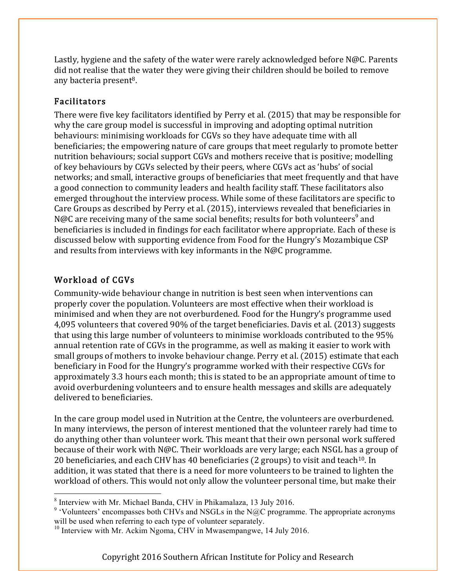Lastly, hygiene and the safety of the water were rarely acknowledged before N@C. Parents did not realise that the water they were giving their children should be boiled to remove any bacteria present<sup>8</sup>.

#### Facilitators

There were five key facilitators identified by Perry et al. (2015) that may be responsible for why the care group model is successful in improving and adopting optimal nutrition behaviours: minimising workloads for CGVs so they have adequate time with all beneficiaries; the empowering nature of care groups that meet regularly to promote better nutrition behaviours; social support CGVs and mothers receive that is positive; modelling of key behaviours by CGVs selected by their peers, where CGVs act as 'hubs' of social networks; and small, interactive groups of beneficiaries that meet frequently and that have a good connection to community leaders and health facility staff. These facilitators also emerged throughout the interview process. While some of these facilitators are specific to Care Groups as described by Perry et al. (2015), interviews revealed that beneficiaries in N@C are receiving many of the same social benefits; results for both volunteers<sup>9</sup> and beneficiaries is included in findings for each facilitator where appropriate. Each of these is discussed below with supporting evidence from Food for the Hungry's Mozambique CSP and results from interviews with key informants in the N@C programme.

#### Workload of CGVs

Community-wide behaviour change in nutrition is best seen when interventions can properly cover the population. Volunteers are most effective when their workload is minimised and when they are not overburdened. Food for the Hungry's programme used 4,095 volunteers that covered 90% of the target beneficiaries. Davis et al. (2013) suggests that using this large number of volunteers to minimise workloads contributed to the 95% annual retention rate of CGVs in the programme, as well as making it easier to work with small groups of mothers to invoke behaviour change. Perry et al. (2015) estimate that each beneficiary in Food for the Hungry's programme worked with their respective CGVs for approximately 3.3 hours each month; this is stated to be an appropriate amount of time to avoid overburdening volunteers and to ensure health messages and skills are adequately delivered to beneficiaries.

In the care group model used in Nutrition at the Centre, the volunteers are overburdened. In many interviews, the person of interest mentioned that the volunteer rarely had time to do anything other than volunteer work. This meant that their own personal work suffered because of their work with N@C. Their workloads are very large; each NSGL has a group of 20 beneficiaries, and each CHV has 40 beneficiaries (2 groups) to visit and teach<sup>10</sup>. In addition, it was stated that there is a need for more volunteers to be trained to lighten the workload of others. This would not only allow the volunteer personal time, but make their

<sup>8</sup> Interview with Mr. Michael Banda, CHV in Phikamalaza, 13 July 2016.

 $9$  'Volunteers' encompasses both CHVs and NSGLs in the N@C programme. The appropriate acronyms will be used when referring to each type of volunteer separately.

<sup>&</sup>lt;sup>10</sup> Interview with Mr. Ackim Ngoma, CHV in Mwasempangwe, 14 July 2016.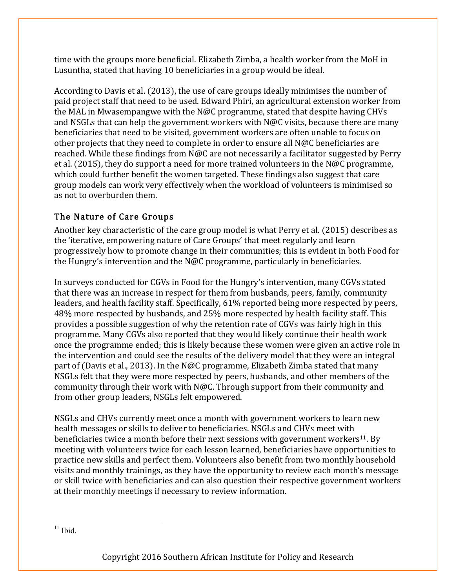time with the groups more beneficial. Elizabeth Zimba, a health worker from the MoH in Lusuntha, stated that having 10 beneficiaries in a group would be ideal.

According to Davis et al. (2013), the use of care groups ideally minimises the number of paid project staff that need to be used. Edward Phiri, an agricultural extension worker from the MAL in Mwasempangwe with the N@C programme, stated that despite having CHVs and NSGLs that can help the government workers with N@C visits, because there are many beneficiaries that need to be visited, government workers are often unable to focus on other projects that they need to complete in order to ensure all N@C beneficiaries are reached. While these findings from N@C are not necessarily a facilitator suggested by Perry et al. (2015), they do support a need for more trained volunteers in the N@C programme, which could further benefit the women targeted. These findings also suggest that care group models can work very effectively when the workload of volunteers is minimised so as not to overburden them.

#### The Nature of Care Groups

Another key characteristic of the care group model is what Perry et al. (2015) describes as the 'iterative, empowering nature of Care Groups' that meet regularly and learn progressively how to promote change in their communities; this is evident in both Food for the Hungry's intervention and the N@C programme, particularly in beneficiaries.

In surveys conducted for CGVs in Food for the Hungry's intervention, many CGVs stated that there was an increase in respect for them from husbands, peers, family, community leaders, and health facility staff. Specifically, 61% reported being more respected by peers, 48% more respected by husbands, and 25% more respected by health facility staff. This provides a possible suggestion of why the retention rate of CGVs was fairly high in this programme. Many CGVs also reported that they would likely continue their health work once the programme ended; this is likely because these women were given an active role in the intervention and could see the results of the delivery model that they were an integral part of (Davis et al., 2013). In the N@C programme, Elizabeth Zimba stated that many NSGLs felt that they were more respected by peers, husbands, and other members of the community through their work with N@C. Through support from their community and from other group leaders, NSGLs felt empowered.

NSGLs and CHVs currently meet once a month with government workers to learn new health messages or skills to deliver to beneficiaries. NSGLs and CHVs meet with beneficiaries twice a month before their next sessions with government workers<sup>11</sup>. By meeting with volunteers twice for each lesson learned, beneficiaries have opportunities to practice new skills and perfect them. Volunteers also benefit from two monthly household visits and monthly trainings, as they have the opportunity to review each month's message or skill twice with beneficiaries and can also question their respective government workers at their monthly meetings if necessary to review information.

 $11$  Ibid.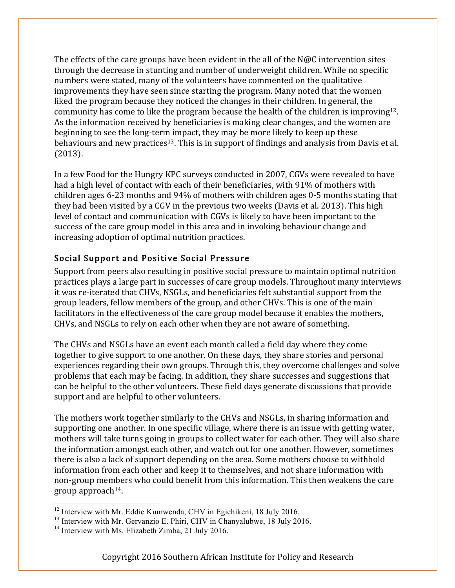The effects of the care groups have been evident in the all of the  $N@C$  intervention sites through the decrease in stunting and number of underweight children. While no specific numbers were stated, many of the volunteers have commented on the qualitative improvements they have seen since starting the program. Many noted that the women liked the program because they noticed the changes in their children. In general, the community has come to like the program because the health of the children is improving12. As the information received by beneficiaries is making clear changes, and the women are beginning to see the long-term impact, they may be more likely to keep up these behaviours and new practices<sup>13</sup>. This is in support of findings and analysis from Davis et al. (2013).

In a few Food for the Hungry KPC surveys conducted in 2007, CGVs were revealed to have had a high level of contact with each of their beneficiaries, with 91% of mothers with children ages 6-23 months and 94% of mothers with children ages 0-5 months stating that they had been visited by a CGV in the previous two weeks (Davis et al. 2013). This high level of contact and communication with CGVs is likely to have been important to the success of the care group model in this area and in invoking behaviour change and increasing adoption of optimal nutrition practices.

#### Social Support and Positive Social Pressure

Support from peers also resulting in positive social pressure to maintain optimal nutrition practices plays a large part in successes of care group models. Throughout many interviews it was re-iterated that CHVs, NSGLs, and beneficiaries felt substantial support from the group leaders, fellow members of the group, and other CHVs. This is one of the main facilitators in the effectiveness of the care group model because it enables the mothers, CHVs, and NSGLs to rely on each other when they are not aware of something.

The CHVs and NSGLs have an event each month called a field day where they come together to give support to one another. On these days, they share stories and personal experiences regarding their own groups. Through this, they overcome challenges and solve problems that each may be facing. In addition, they share successes and suggestions that can be helpful to the other volunteers. These field days generate discussions that provide support and are helpful to other volunteers.

The mothers work together similarly to the CHVs and NSGLs, in sharing information and supporting one another. In one specific village, where there is an issue with getting water, mothers will take turns going in groups to collect water for each other. They will also share the information amongst each other, and watch out for one another. However, sometimes there is also a lack of support depending on the area. Some mothers choose to withhold information from each other and keep it to themselves, and not share information with non-group members who could benefit from this information. This then weakens the care group approach14.

<u>.</u>

<sup>&</sup>lt;sup>12</sup> Interview with Mr. Eddie Kumwenda, CHV in Egichikeni, 18 July 2016.

<sup>&</sup>lt;sup>13</sup> Interview with Mr. Gervanzio E. Phiri, CHV in Chanyalubwe, 18 July 2016.

 $14$  Interview with Ms. Elizabeth Zimba, 21 July 2016.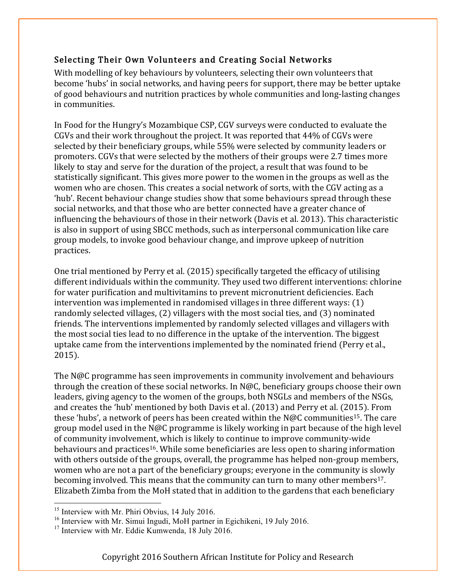#### Selecting Their Own Volunteers and Creating Social Networks

With modelling of key behaviours by volunteers, selecting their own volunteers that become 'hubs' in social networks, and having peers for support, there may be better uptake of good behaviours and nutrition practices by whole communities and long-lasting changes in communities.

In Food for the Hungry's Mozambique CSP, CGV surveys were conducted to evaluate the CGVs and their work throughout the project. It was reported that 44% of CGVs were selected by their beneficiary groups, while 55% were selected by community leaders or promoters. CGVs that were selected by the mothers of their groups were 2.7 times more likely to stay and serve for the duration of the project, a result that was found to be statistically significant. This gives more power to the women in the groups as well as the women who are chosen. This creates a social network of sorts, with the CGV acting as a 'hub'. Recent behaviour change studies show that some behaviours spread through these social networks, and that those who are better connected have a greater chance of influencing the behaviours of those in their network (Davis et al. 2013). This characteristic is also in support of using SBCC methods, such as interpersonal communication like care group models, to invoke good behaviour change, and improve upkeep of nutrition practices.

One trial mentioned by Perry et al. (2015) specifically targeted the efficacy of utilising different individuals within the community. They used two different interventions: chlorine for water purification and multivitamins to prevent micronutrient deficiencies. Each intervention was implemented in randomised villages in three different ways: (1) randomly selected villages, (2) villagers with the most social ties, and (3) nominated friends. The interventions implemented by randomly selected villages and villagers with the most social ties lead to no difference in the uptake of the intervention. The biggest uptake came from the interventions implemented by the nominated friend (Perry et al., 2015).

The N@C programme has seen improvements in community involvement and behaviours through the creation of these social networks. In N@C, beneficiary groups choose their own leaders, giving agency to the women of the groups, both NSGLs and members of the NSGs, and creates the 'hub' mentioned by both Davis et al. (2013) and Perry et al. (2015). From these 'hubs', a network of peers has been created within the N@C communities<sup>15</sup>. The care group model used in the N@C programme is likely working in part because of the high level of community involvement, which is likely to continue to improve community-wide behaviours and practices<sup>16</sup>. While some beneficiaries are less open to sharing information with others outside of the groups, overall, the programme has helped non-group members, women who are not a part of the beneficiary groups; everyone in the community is slowly becoming involved. This means that the community can turn to many other members<sup>17</sup>. Elizabeth Zimba from the MoH stated that in addition to the gardens that each beneficiary

<u>.</u>

 $15$  Interview with Mr. Phiri Obvius, 14 July 2016.

<sup>&</sup>lt;sup>16</sup> Interview with Mr. Simui Ingudi, MoH partner in Egichikeni, 19 July 2016.

<sup>&</sup>lt;sup>17</sup> Interview with Mr. Eddie Kumwenda, 18 July 2016.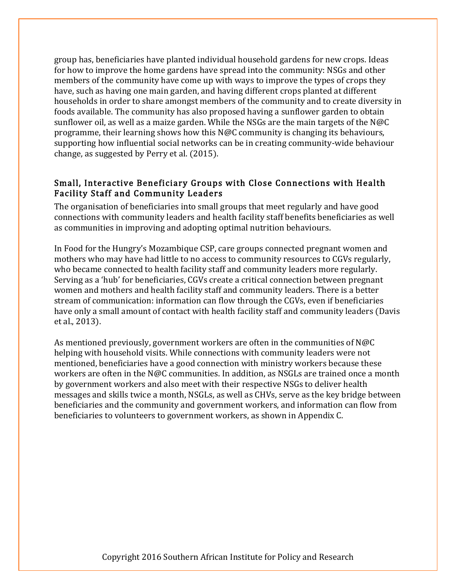group has, beneficiaries have planted individual household gardens for new crops. Ideas for how to improve the home gardens have spread into the community: NSGs and other members of the community have come up with ways to improve the types of crops they have, such as having one main garden, and having different crops planted at different households in order to share amongst members of the community and to create diversity in foods available. The community has also proposed having a sunflower garden to obtain sunflower oil, as well as a maize garden. While the NSGs are the main targets of the N@C programme, their learning shows how this N@C community is changing its behaviours, supporting how influential social networks can be in creating community-wide behaviour change, as suggested by Perry et al. (2015).

#### Small, Interactive Beneficiary Groups with Close Connections with Health Facility Staff and Community Leaders

The organisation of beneficiaries into small groups that meet regularly and have good connections with community leaders and health facility staff benefits beneficiaries as well as communities in improving and adopting optimal nutrition behaviours.

In Food for the Hungry's Mozambique CSP, care groups connected pregnant women and mothers who may have had little to no access to community resources to CGVs regularly, who became connected to health facility staff and community leaders more regularly. Serving as a 'hub' for beneficiaries, CGVs create a critical connection between pregnant women and mothers and health facility staff and community leaders. There is a better stream of communication: information can flow through the CGVs, even if beneficiaries have only a small amount of contact with health facility staff and community leaders (Davis et al., 2013).

As mentioned previously, government workers are often in the communities of N@C helping with household visits. While connections with community leaders were not mentioned, beneficiaries have a good connection with ministry workers because these workers are often in the N@C communities. In addition, as NSGLs are trained once a month by government workers and also meet with their respective NSGs to deliver health messages and skills twice a month, NSGLs, as well as CHVs, serve as the key bridge between beneficiaries and the community and government workers, and information can flow from beneficiaries to volunteers to government workers, as shown in Appendix C.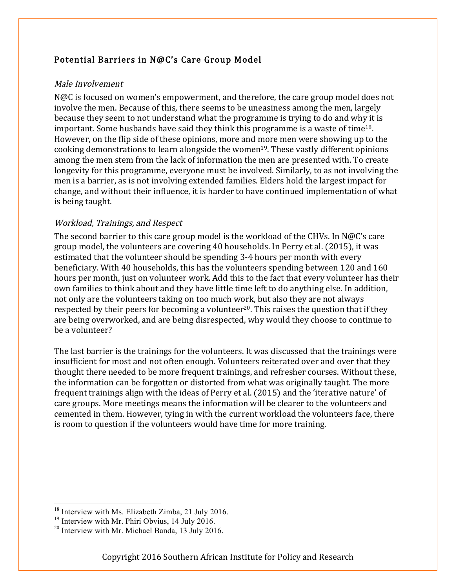#### Potential Barriers in N@C's Care Group Model

#### Male Involvement

N@C is focused on women's empowerment, and therefore, the care group model does not involve the men. Because of this, there seems to be uneasiness among the men, largely because they seem to not understand what the programme is trying to do and why it is important. Some husbands have said they think this programme is a waste of time18. However, on the flip side of these opinions, more and more men were showing up to the cooking demonstrations to learn alongside the women<sup>19</sup>. These vastly different opinions among the men stem from the lack of information the men are presented with. To create longevity for this programme, everyone must be involved. Similarly, to as not involving the men is a barrier, as is not involving extended families. Elders hold the largest impact for change, and without their influence, it is harder to have continued implementation of what is being taught.

#### Workload, Trainings, and Respect

The second barrier to this care group model is the workload of the CHVs. In N@C's care group model, the volunteers are covering 40 households. In Perry et al. (2015), it was estimated that the volunteer should be spending 3-4 hours per month with every beneficiary. With 40 households, this has the volunteers spending between 120 and 160 hours per month, just on volunteer work. Add this to the fact that every volunteer has their own families to think about and they have little time left to do anything else. In addition, not only are the volunteers taking on too much work, but also they are not always respected by their peers for becoming a volunteer<sup>20</sup>. This raises the question that if they are being overworked, and are being disrespected, why would they choose to continue to be a volunteer?

The last barrier is the trainings for the volunteers. It was discussed that the trainings were insufficient for most and not often enough. Volunteers reiterated over and over that they thought there needed to be more frequent trainings, and refresher courses. Without these, the information can be forgotten or distorted from what was originally taught. The more frequent trainings align with the ideas of Perry et al. (2015) and the 'iterative nature' of care groups. More meetings means the information will be clearer to the volunteers and cemented in them. However, tying in with the current workload the volunteers face, there is room to question if the volunteers would have time for more training.

<u>.</u>

 $18$  Interview with Ms. Elizabeth Zimba, 21 July 2016.

<sup>&</sup>lt;sup>19</sup> Interview with Mr. Phiri Obvius, 14 July 2016.

<sup>&</sup>lt;sup>20</sup> Interview with Mr. Michael Banda, 13 July 2016.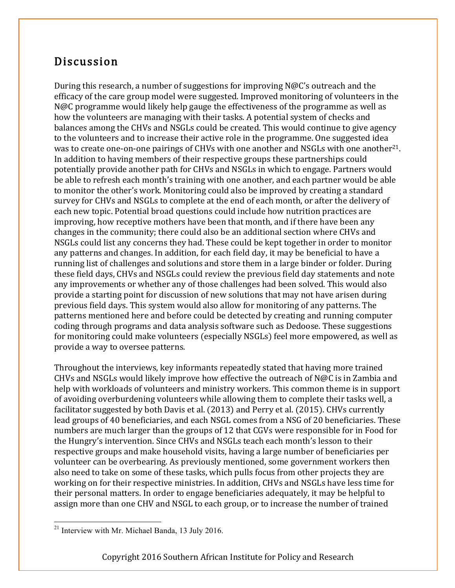# Discussion

During this research, a number of suggestions for improving N@C's outreach and the efficacy of the care group model were suggested. Improved monitoring of volunteers in the N@C programme would likely help gauge the effectiveness of the programme as well as how the volunteers are managing with their tasks. A potential system of checks and balances among the CHVs and NSGLs could be created. This would continue to give agency to the volunteers and to increase their active role in the programme. One suggested idea was to create one-on-one pairings of CHVs with one another and NSGLs with one another<sup>21</sup>. In addition to having members of their respective groups these partnerships could potentially provide another path for CHVs and NSGLs in which to engage. Partners would be able to refresh each month's training with one another, and each partner would be able to monitor the other's work. Monitoring could also be improved by creating a standard survey for CHVs and NSGLs to complete at the end of each month, or after the delivery of each new topic. Potential broad questions could include how nutrition practices are improving, how receptive mothers have been that month, and if there have been any changes in the community; there could also be an additional section where CHVs and NSGLs could list any concerns they had. These could be kept together in order to monitor any patterns and changes. In addition, for each field day, it may be beneficial to have a running list of challenges and solutions and store them in a large binder or folder. During these field days, CHVs and NSGLs could review the previous field day statements and note any improvements or whether any of those challenges had been solved. This would also provide a starting point for discussion of new solutions that may not have arisen during previous field days. This system would also allow for monitoring of any patterns. The patterns mentioned here and before could be detected by creating and running computer coding through programs and data analysis software such as Dedoose. These suggestions for monitoring could make volunteers (especially NSGLs) feel more empowered, as well as provide a way to oversee patterns.

Throughout the interviews, key informants repeatedly stated that having more trained CHVs and NSGLs would likely improve how effective the outreach of  $N@C$  is in Zambia and help with workloads of volunteers and ministry workers. This common theme is in support of avoiding overburdening volunteers while allowing them to complete their tasks well, a facilitator suggested by both Davis et al. (2013) and Perry et al. (2015). CHVs currently lead groups of 40 beneficiaries, and each NSGL comes from a NSG of 20 beneficiaries. These numbers are much larger than the groups of 12 that CGVs were responsible for in Food for the Hungry's intervention. Since CHVs and NSGLs teach each month's lesson to their respective groups and make household visits, having a large number of beneficiaries per volunteer can be overbearing. As previously mentioned, some government workers then also need to take on some of these tasks, which pulls focus from other projects they are working on for their respective ministries. In addition, CHVs and NSGLs have less time for their personal matters. In order to engage beneficiaries adequately, it may be helpful to assign more than one CHV and NSGL to each group, or to increase the number of trained

<sup>&</sup>lt;sup>21</sup> Interview with Mr. Michael Banda, 13 July 2016.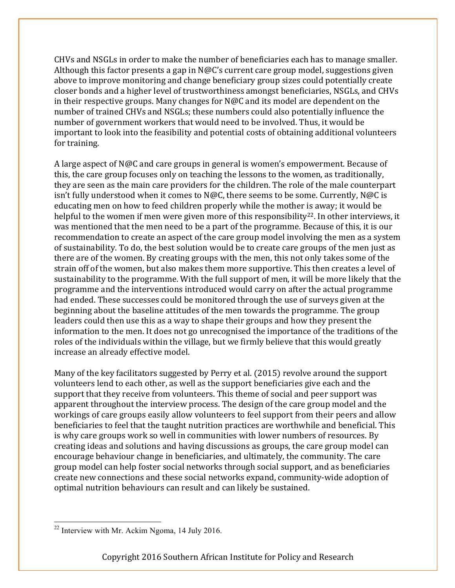CHVs and NSGLs in order to make the number of beneficiaries each has to manage smaller. Although this factor presents a gap in N@C's current care group model, suggestions given above to improve monitoring and change beneficiary group sizes could potentially create closer bonds and a higher level of trustworthiness amongst beneficiaries, NSGLs, and CHVs in their respective groups. Many changes for N@C and its model are dependent on the number of trained CHVs and NSGLs; these numbers could also potentially influence the number of government workers that would need to be involved. Thus, it would be important to look into the feasibility and potential costs of obtaining additional volunteers for training.

A large aspect of N@C and care groups in general is women's empowerment. Because of this, the care group focuses only on teaching the lessons to the women, as traditionally, they are seen as the main care providers for the children. The role of the male counterpart isn't fully understood when it comes to N@C, there seems to be some. Currently, N@C is educating men on how to feed children properly while the mother is away; it would be helpful to the women if men were given more of this responsibility<sup>22</sup>. In other interviews, it was mentioned that the men need to be a part of the programme. Because of this, it is our recommendation to create an aspect of the care group model involving the men as a system of sustainability. To do, the best solution would be to create care groups of the men just as there are of the women. By creating groups with the men, this not only takes some of the strain off of the women, but also makes them more supportive. This then creates a level of sustainability to the programme. With the full support of men, it will be more likely that the programme and the interventions introduced would carry on after the actual programme had ended. These successes could be monitored through the use of surveys given at the beginning about the baseline attitudes of the men towards the programme. The group leaders could then use this as a way to shape their groups and how they present the information to the men. It does not go unrecognised the importance of the traditions of the roles of the individuals within the village, but we firmly believe that this would greatly increase an already effective model.

Many of the key facilitators suggested by Perry et al. (2015) revolve around the support volunteers lend to each other, as well as the support beneficiaries give each and the support that they receive from volunteers. This theme of social and peer support was apparent throughout the interview process. The design of the care group model and the workings of care groups easily allow volunteers to feel support from their peers and allow beneficiaries to feel that the taught nutrition practices are worthwhile and beneficial. This is why care groups work so well in communities with lower numbers of resources. By creating ideas and solutions and having discussions as groups, the care group model can encourage behaviour change in beneficiaries, and ultimately, the community. The care group model can help foster social networks through social support, and as beneficiaries create new connections and these social networks expand, community-wide adoption of optimal nutrition behaviours can result and can likely be sustained.

<sup>&</sup>lt;sup>22</sup> Interview with Mr. Ackim Ngoma, 14 July 2016.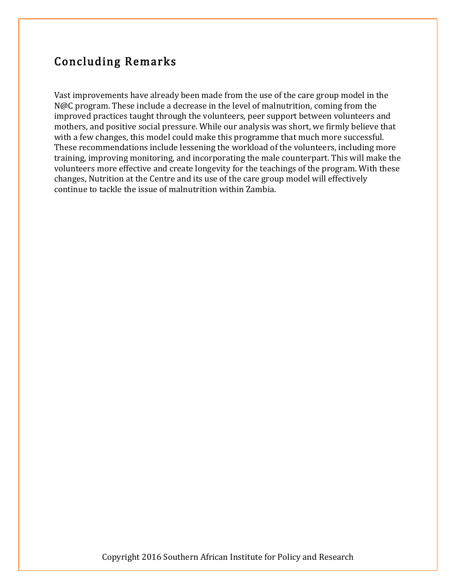# Concluding Remarks

Vast improvements have already been made from the use of the care group model in the N@C program. These include a decrease in the level of malnutrition, coming from the improved practices taught through the volunteers, peer support between volunteers and mothers, and positive social pressure. While our analysis was short, we firmly believe that with a few changes, this model could make this programme that much more successful. These recommendations include lessening the workload of the volunteers, including more training, improving monitoring, and incorporating the male counterpart. This will make the volunteers more effective and create longevity for the teachings of the program. With these changes, Nutrition at the Centre and its use of the care group model will effectively continue to tackle the issue of malnutrition within Zambia.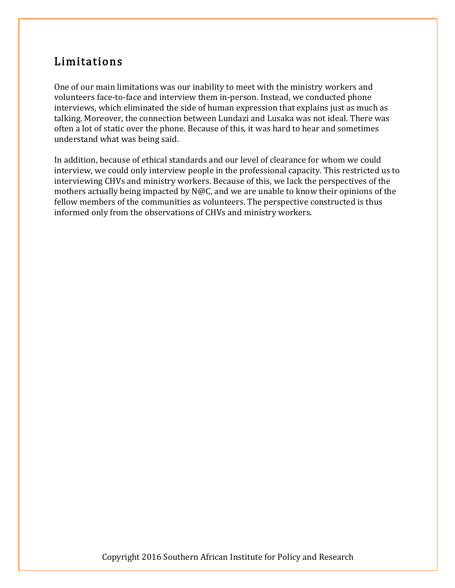# Limitations

One of our main limitations was our inability to meet with the ministry workers and volunteers face-to-face and interview them in-person. Instead, we conducted phone interviews, which eliminated the side of human expression that explains just as much as talking. Moreover, the connection between Lundazi and Lusaka was not ideal. There was often a lot of static over the phone. Because of this, it was hard to hear and sometimes understand what was being said.

In addition, because of ethical standards and our level of clearance for whom we could interview, we could only interview people in the professional capacity. This restricted us to interviewing CHVs and ministry workers. Because of this, we lack the perspectives of the mothers actually being impacted by N@C, and we are unable to know their opinions of the fellow members of the communities as volunteers. The perspective constructed is thus informed only from the observations of CHVs and ministry workers.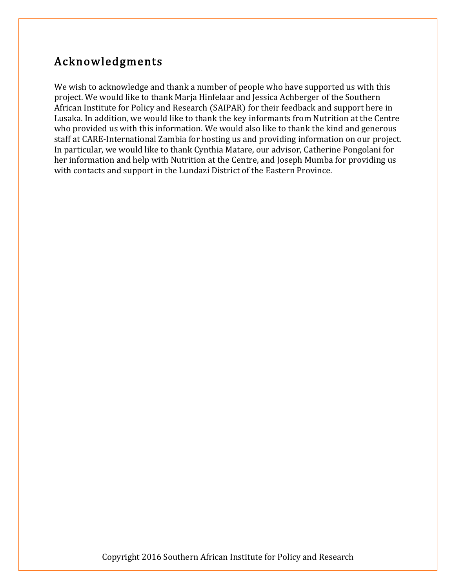# Acknowledgments

We wish to acknowledge and thank a number of people who have supported us with this project. We would like to thank Marja Hinfelaar and Jessica Achberger of the Southern African Institute for Policy and Research (SAIPAR) for their feedback and support here in Lusaka. In addition, we would like to thank the key informants from Nutrition at the Centre who provided us with this information. We would also like to thank the kind and generous staff at CARE-International Zambia for hosting us and providing information on our project. In particular, we would like to thank Cynthia Matare, our advisor, Catherine Pongolani for her information and help with Nutrition at the Centre, and Joseph Mumba for providing us with contacts and support in the Lundazi District of the Eastern Province.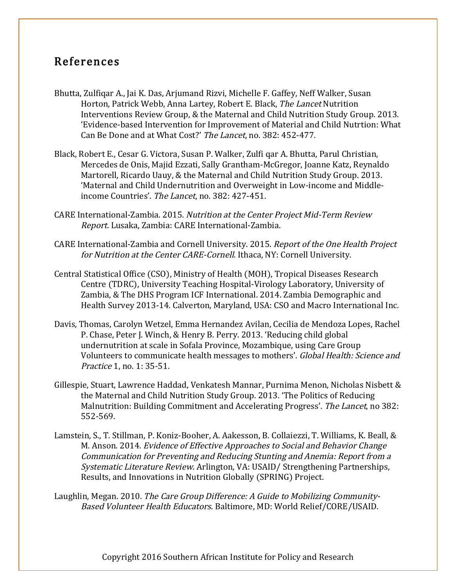### References

- Bhutta, Zulfiqar A., Jai K. Das, Arjumand Rizvi, Michelle F. Gaffey, Neff Walker, Susan Horton, Patrick Webb, Anna Lartey, Robert E. Black, The Lancet Nutrition Interventions Review Group, & the Maternal and Child Nutrition Study Group. 2013. 'Evidence-based Intervention for Improvement of Material and Child Nutrtion: What Can Be Done and at What Cost?' The Lancet, no. 382: 452-477.
- Black, Robert E., Cesar G. Victora, Susan P. Walker, Zulfi qar A. Bhutta, Parul Christian, Mercedes de Onis, Majid Ezzati, Sally Grantham-McGregor, Joanne Katz, Reynaldo Martorell, Ricardo Uauy, & the Maternal and Child Nutrition Study Group. 2013. 'Maternal and Child Undernutrition and Overweight in Low-income and Middleincome Countries'. The Lancet, no. 382: 427-451.
- CARE International-Zambia. 2015. Nutrition at the Center Project Mid-Term Review Report. Lusaka, Zambia: CARE International-Zambia.
- CARE International-Zambia and Cornell University. 2015. Report of the One Health Project for Nutrition at the Center CARE-Cornell. Ithaca, NY: Cornell University.
- Central Statistical Office (CSO), Ministry of Health (MOH), Tropical Diseases Research Centre (TDRC), University Teaching Hospital-Virology Laboratory, University of Zambia, & The DHS Program ICF International. 2014. Zambia Demographic and Health Survey 2013-14. Calverton, Maryland, USA: CSO and Macro International Inc.
- Davis, Thomas, Carolyn Wetzel, Emma Hernandez Avilan, Cecilia de Mendoza Lopes, Rachel P. Chase, Peter J. Winch, & Henry B. Perry. 2013. 'Reducing child global undernutrition at scale in Sofala Province, Mozambique, using Care Group Volunteers to communicate health messages to mothers'. Global Health: Science and Practice 1, no. 1: 35-51.
- Gillespie, Stuart, Lawrence Haddad, Venkatesh Mannar, Purnima Menon, Nicholas Nisbett & the Maternal and Child Nutrition Study Group. 2013. 'The Politics of Reducing Malnutrition: Building Commitment and Accelerating Progress'. The Lancet, no 382: 552-569.
- Lamstein, S., T. Stillman, P. Koniz-Booher, A. Aakesson, B. Collaiezzi, T. Williams, K. Beall, & M. Anson. 2014. Evidence of Effective Approaches to Social and Behavior Change Communication for Preventing and Reducing Stunting and Anemia: Report from a Systematic Literature Review. Arlington, VA: USAID/ Strengthening Partnerships, Results, and Innovations in Nutrition Globally (SPRING) Project.
- Laughlin, Megan. 2010. The Care Group Difference: A Guide to Mobilizing Community-Based Volunteer Health Educators. Baltimore, MD: World Relief/CORE/USAID.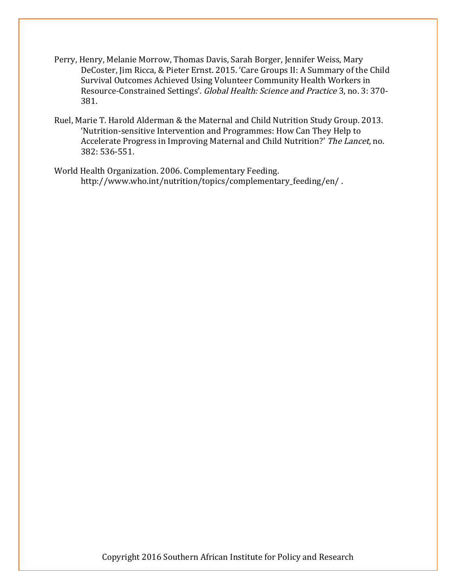- Perry, Henry, Melanie Morrow, Thomas Davis, Sarah Borger, Jennifer Weiss, Mary DeCoster, Jim Ricca, & Pieter Ernst. 2015. 'Care Groups II: A Summary of the Child Survival Outcomes Achieved Using Volunteer Community Health Workers in Resource-Constrained Settings'. Global Health: Science and Practice 3, no. 3: 370- 381.
- Ruel, Marie T. Harold Alderman & the Maternal and Child Nutrition Study Group. 2013. 'Nutrition-sensitive Intervention and Programmes: How Can They Help to Accelerate Progress in Improving Maternal and Child Nutrition?' The Lancet, no. 382: 536-551.
- World Health Organization. 2006. Complementary Feeding. http://www.who.int/nutrition/topics/complementary\_feeding/en/ .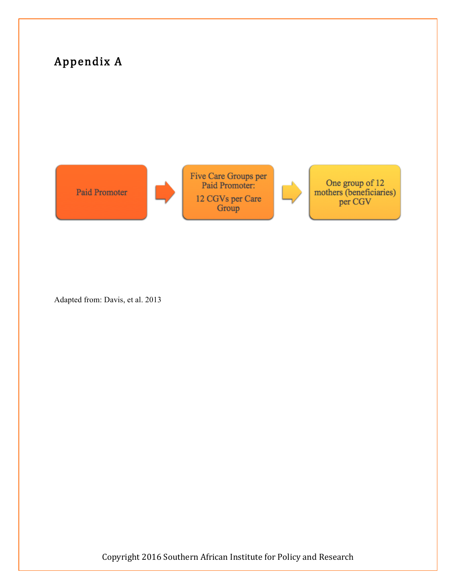

Adapted from: Davis, et al. 2013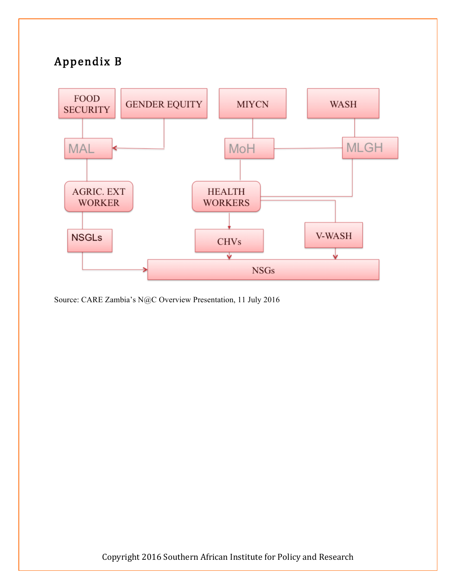# Appendix B



Source: CARE Zambia's N@C Overview Presentation, 11 July 2016